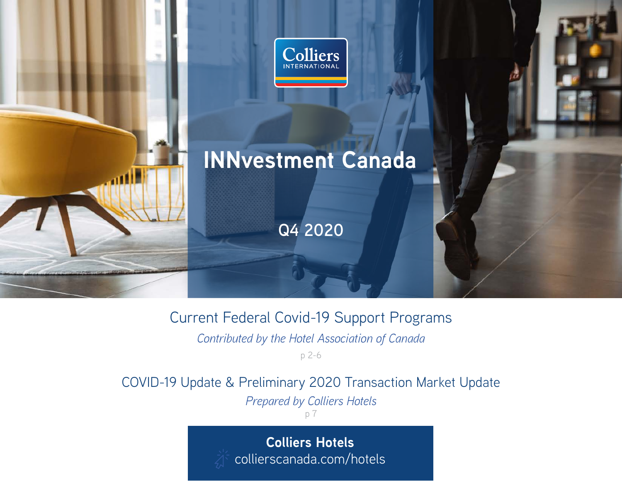

# **INNvestment Canada**

**Q4 2020**

## Current Federal Covid-19 Support Programs

*[Contributed by the Hotel Association of Canada](http://www.hotelassociation.ca/)*

[p 2-6](#page-1-0)

COVID-19 Update & Preliminary 2020 Transaction Market Update

*[Prepared by Colliers Hotels](http://www.hotelassociation.ca/)* [p 7](#page-6-0)

**[Colliers Hotels](https://www.collierscanada.com/hotels)** [collierscanada.com/hotels](https://www.collierscanada.com/hotels)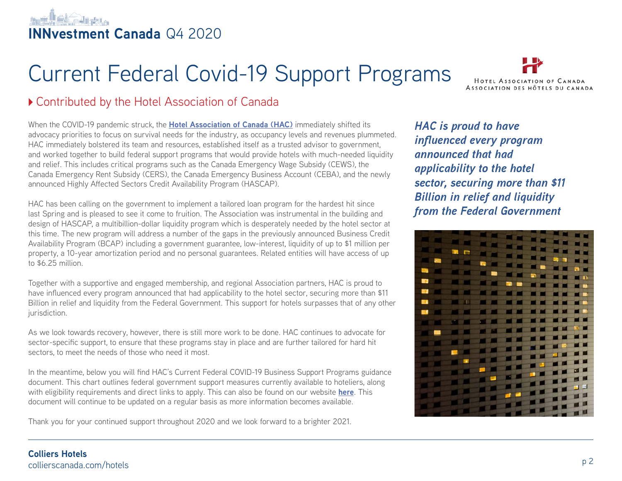<span id="page-1-0"></span>

# Current Federal Covid-19 Support Programs

### Contributed by the Hotel Association of Canada

When the COVID-19 pandemic struck, the **[Hotel Association of Canada \(HAC\)](http://www.hotelassociation.ca/)** immediately shifted its advocacy priorities to focus on survival needs for the industry, as occupancy levels and revenues plummeted. HAC immediately bolstered its team and resources, established itself as a trusted advisor to government, and worked together to build federal support programs that would provide hotels with much-needed liquidity and relief. This includes critical programs such as the Canada Emergency Wage Subsidy (CEWS), the Canada Emergency Rent Subsidy (CERS), the Canada Emergency Business Account (CEBA), and the newly announced Highly Affected Sectors Credit Availability Program (HASCAP).

HAC has been calling on the government to implement a tailored loan program for the hardest hit since last Spring and is pleased to see it come to fruition. The Association was instrumental in the building and design of HASCAP, a multibillion-dollar liquidity program which is desperately needed by the hotel sector at this time. The new program will address a number of the gaps in the previously announced Business Credit Availability Program (BCAP) including a government guarantee, low-interest, liquidity of up to \$1 million per property, a 10-year amortization period and no personal guarantees. Related entities will have access of up to \$6.25 million.

Together with a supportive and engaged membership, and regional Association partners, HAC is proud to have influenced every program announced that had applicability to the hotel sector, securing more than \$11 Billion in relief and liquidity from the Federal Government. This support for hotels surpasses that of any other jurisdiction.

As we look towards recovery, however, there is still more work to be done. HAC continues to advocate for sector-specific support, to ensure that these programs stay in place and are further tailored for hard hit sectors, to meet the needs of those who need it most.

In the meantime, below you will find HAC's Current Federal COVID-19 Business Support Programs guidance document. This chart outlines federal government support measures currently available to hoteliers, along with eligibility requirements and direct links to apply. This can also be found on our website **[here](https://www.hac-covid.com/economic-relief-measures)**. This document will continue to be updated on a regular basis as more information becomes available.

Thank you for your continued support throughout 2020 and we look forward to a brighter 2021.



*HAC is proud to have influenced every program announced that had applicability to the hotel sector, securing more than \$11 Billion in relief and liquidity from the Federal Government*

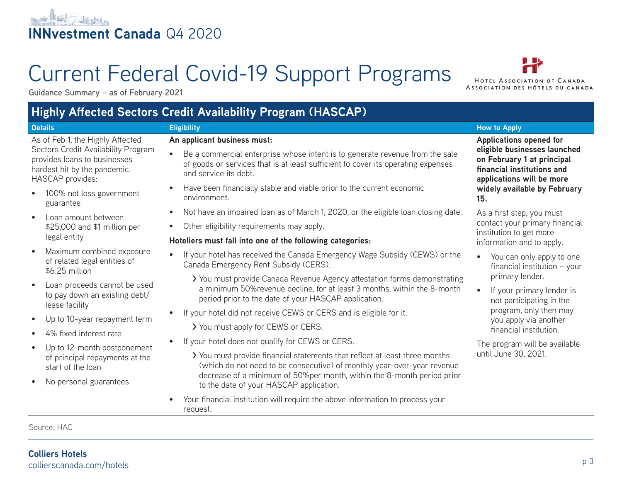

# Current Federal Covid-19 Support Programs

**Guidance Summary – as of February 2021**

# **Highly Affected Sectors Credit Availability Program (HASCAP)**

**An applicant business must:** 

As of Feb 1, the Highly Affected Sectors Credit Availability Program provides loans to businesses hardest hit by the pandemic. HASCAP provides:

- 100% net loss government guarantee
- Loan amount between \$25,000 and \$1 million per legal entity
- Maximum combined exposure of related legal entities of \$6.25 million
- Loan proceeds cannot be used to pay down an existing debt/ lease facility
- Up to 10-year repayment term
- 4% fixed interest rate
- Up to 12-month postponement of principal repayments at the start of the loan
- No personal guarantees
- Be a commercial enterprise whose intent is to generate revenue from the sale of goods or services that is at least sufficient to cover its operating expenses and service its debt.
- Have been financially stable and viable prior to the current economic environment.
- Not have an impaired loan as of March 1, 2020, or the eligible loan closing date.
- Other eligibility requirements may apply.

### **Hoteliers must fall into one of the following categories:**

- If your hotel has received the Canada Emergency Wage Subsidy (CEWS) or the Canada Emergency Rent Subsidy (CERS).
	- **>** You must provide Canada Revenue Agency attestation forms demonstrating a minimum 50%revenue decline, for at least 3 months, within the 8-month period prior to the date of your HASCAP application.
- If your hotel did not receive CEWS or CERS and is eligible for it.
	- **>** You must apply for CEWS or CERS.
- If your hotel does not qualify for CEWS or CERS.
	- **>** You must provide financial statements that reflect at least three months (which do not need to be consecutive) of monthly year-over-year revenue decrease of a minimum of 50%per month, within the 8-month period prior to the date of your HASCAP application.
- Your financial institution will require the above information to process your request.

HOTEL ASSOCIATION OF CANADA ASSOCIATION DES HÔTELS DU CANADA

#### **Details Eligibility How to Apply**

**Applications opened for eligible businesses launched on February 1 at principal financial institutions and applications will be more widely available by February 15.** 

As a first step, you must contact your primary financial institution to get more information and to apply.

- You can only apply to one financial institution – your primary lender.
- If your primary lender is not participating in the program, only then may you apply via another financial institution.

The program will be available until June 30, 2021.

Source: HAC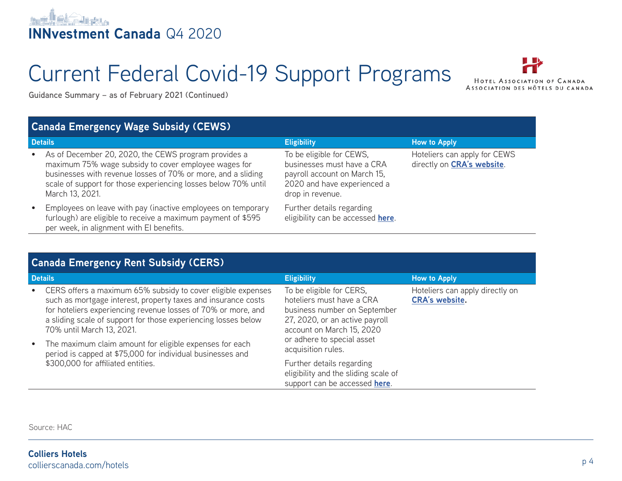

# Current Federal Covid-19 Support Programs

**Guidance Summary – as of February 2021 (Continued)**

| <b>Canada Emergency Wage Subsidy (CEWS)</b> |                                                                                                                                                                                                                                                                   |                                                                                                                                           |                                                                    |  |
|---------------------------------------------|-------------------------------------------------------------------------------------------------------------------------------------------------------------------------------------------------------------------------------------------------------------------|-------------------------------------------------------------------------------------------------------------------------------------------|--------------------------------------------------------------------|--|
| <b>Details</b>                              |                                                                                                                                                                                                                                                                   | <b>Eligibility</b>                                                                                                                        | <b>How to Apply</b>                                                |  |
| $\bullet$                                   | As of December 20, 2020, the CEWS program provides a<br>maximum 75% wage subsidy to cover employee wages for<br>businesses with revenue losses of 70% or more, and a sliding<br>scale of support for those experiencing losses below 70% until<br>March 13, 2021. | To be eligible for CEWS,<br>businesses must have a CRA<br>payroll account on March 15,<br>2020 and have experienced a<br>drop in revenue. | Hoteliers can apply for CEWS<br>directly on <b>CRA's website</b> . |  |
| $\bullet$                                   | Employees on leave with pay (inactive employees on temporary<br>furlough) are eligible to receive a maximum payment of \$595<br>per week, in alignment with EI benefits.                                                                                          | Further details regarding<br>eligibility can be accessed here.                                                                            |                                                                    |  |

| <b>Canada Emergency Rent Subsidy (CERS)</b> |                                                                                                                                                                                                                                                                                                                                                          |                                                                                                                                                                                    |                                                          |  |
|---------------------------------------------|----------------------------------------------------------------------------------------------------------------------------------------------------------------------------------------------------------------------------------------------------------------------------------------------------------------------------------------------------------|------------------------------------------------------------------------------------------------------------------------------------------------------------------------------------|----------------------------------------------------------|--|
| <b>Details</b>                              |                                                                                                                                                                                                                                                                                                                                                          | <b>Eligibility</b>                                                                                                                                                                 | <b>How to Apply</b>                                      |  |
| $\bullet$<br>$\bullet$                      | CERS offers a maximum 65% subsidy to cover eligible expenses<br>such as mortgage interest, property taxes and insurance costs<br>for hoteliers experiencing revenue losses of 70% or more, and<br>a sliding scale of support for those experiencing losses below<br>70% until March 13, 2021.<br>The maximum claim amount for eligible expenses for each | To be eligible for CERS,<br>hoteliers must have a CRA<br>business number on September<br>27, 2020, or an active payroll<br>account on March 15, 2020<br>or adhere to special asset | Hoteliers can apply directly on<br><b>CRA's website.</b> |  |
|                                             | period is capped at \$75,000 for individual businesses and<br>\$300,000 for affiliated entities.                                                                                                                                                                                                                                                         | acquisition rules.<br>Further details regarding<br>eligibility and the sliding scale of<br>support can be accessed here.                                                           |                                                          |  |

Source: HAC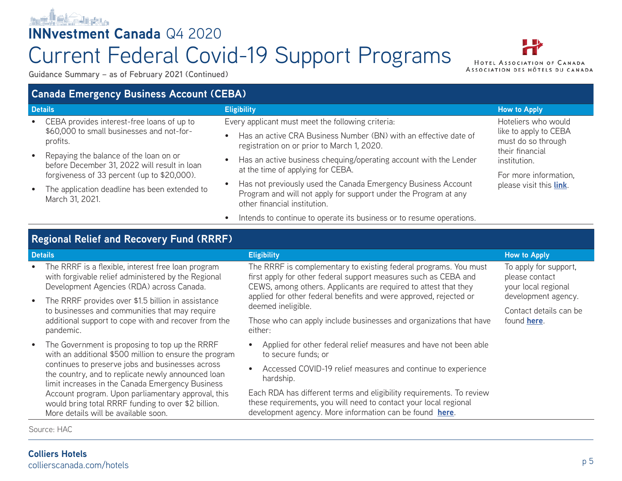# **INNvestment Canada** Q4 2020

# Current Federal Covid-19 Support Programs

HOTEL ASSOCIATION OF CANADA ASSOCIATION DES HÔTELS DU CANADA

**Guidance Summary – as of February 2021 (Continued)**

|                | <b>Canada Emergency Business Account (CEBA)</b>                                                                                       |                                                                                                                                                                  |                                                          |  |
|----------------|---------------------------------------------------------------------------------------------------------------------------------------|------------------------------------------------------------------------------------------------------------------------------------------------------------------|----------------------------------------------------------|--|
| <b>Details</b> |                                                                                                                                       | <b>Eligibility</b>                                                                                                                                               | <b>How to Apply</b>                                      |  |
|                | CEBA provides interest-free loans of up to<br>\$60,000 to small businesses and not-for-<br>profits.                                   | Every applicant must meet the following criteria:                                                                                                                | Hoteliers who would                                      |  |
|                |                                                                                                                                       | Has an active CRA Business Number (BN) with an effective date of<br>$\bullet$<br>registration on or prior to March 1, 2020.                                      | like to apply to CEBA<br>must do so through              |  |
|                | Repaying the balance of the loan on or<br>before December 31, 2022 will result in loan<br>forgiveness of 33 percent (up to \$20,000). | Has an active business chequing/operating account with the Lender<br>at the time of applying for CEBA.                                                           | their financial<br>institution.<br>For more information, |  |
|                | The application deadline has been extended to<br>March 31, 2021.                                                                      | Has not previously used the Canada Emergency Business Account<br>Program and will not apply for support under the Program at any<br>other financial institution. | please visit this link.                                  |  |
|                |                                                                                                                                       | Intends to continue to operate its business or to resume operations.                                                                                             |                                                          |  |

### **Regional Relief and Recovery Fund (RRRF)**

| <b>Details</b> |                                                                                                                                                                                                                                                                                                                                                                                                                             | <b>Eligibility</b>                                                                                                                                                                                     | <b>How to Apply</b>                                            |  |
|----------------|-----------------------------------------------------------------------------------------------------------------------------------------------------------------------------------------------------------------------------------------------------------------------------------------------------------------------------------------------------------------------------------------------------------------------------|--------------------------------------------------------------------------------------------------------------------------------------------------------------------------------------------------------|----------------------------------------------------------------|--|
|                | The RRRF is a flexible, interest free loan program<br>with forgivable relief administered by the Regional<br>Development Agencies (RDA) across Canada.                                                                                                                                                                                                                                                                      | The RRRF is complementary to existing federal programs. You must<br>first apply for other federal support measures such as CEBA and<br>CEWS, among others. Applicants are required to attest that they | To apply for support,<br>please contact<br>your local regional |  |
|                | The RRRF provides over \$1.5 billion in assistance<br>to businesses and communities that may require<br>additional support to cope with and recover from the<br>pandemic.                                                                                                                                                                                                                                                   | applied for other federal benefits and were approved, rejected or<br>deemed ineligible.                                                                                                                | development agency.<br>Contact details can be                  |  |
|                |                                                                                                                                                                                                                                                                                                                                                                                                                             | Those who can apply include businesses and organizations that have<br>either:                                                                                                                          | found here.                                                    |  |
|                | The Government is proposing to top up the RRRF<br>with an additional \$500 million to ensure the program<br>continues to preserve jobs and businesses across<br>the country, and to replicate newly announced loan<br>limit increases in the Canada Emergency Business<br>Account program. Upon parliamentary approval, this<br>would bring total RRRF funding to over \$2 billion.<br>More details will be available soon. | Applied for other federal relief measures and have not been able<br>$\bullet$<br>to secure funds; or                                                                                                   |                                                                |  |
|                |                                                                                                                                                                                                                                                                                                                                                                                                                             | Accessed COVID-19 relief measures and continue to experience<br>$\bullet$<br>hardship.                                                                                                                 |                                                                |  |
|                |                                                                                                                                                                                                                                                                                                                                                                                                                             | Each RDA has different terms and eligibility requirements. To review<br>these requirements, you will need to contact your local regional<br>development agency. More information can be found here.    |                                                                |  |

Source: HAC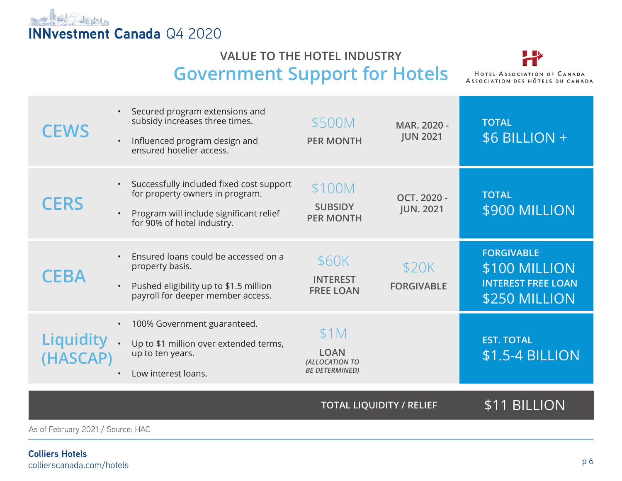

# **Government Support for Hotels VALUE TO THE HOTEL INDUSTRY**

コロン HOTEL ASSOCIATION OF CANADA ASSOCIATION DES HÔTELS DU CANADA

| $\bullet$<br><b>CEWS</b><br>$\bullet$ | Secured program extensions and<br>subsidy increases three times.<br>Influenced program design and<br>ensured hotelier access.                        | \$500M<br><b>PER MONTH</b>                                     | MAR. 2020 -<br><b>JUN 2021</b>  | <b>TOTAL</b><br>\$6 BILLION +                                                    |
|---------------------------------------|------------------------------------------------------------------------------------------------------------------------------------------------------|----------------------------------------------------------------|---------------------------------|----------------------------------------------------------------------------------|
| <b>CERS</b><br>$\bullet$              | Successfully included fixed cost support<br>for property owners in program.<br>Program will include significant relief<br>for 90% of hotel industry. | \$100M<br><b>SUBSIDY</b><br><b>PER MONTH</b>                   | OCT. 2020 -<br><b>JUN. 2021</b> | <b>TOTAL</b><br>\$900 MILLION                                                    |
| $\bullet$<br><b>CEBA</b><br>$\bullet$ | Ensured loans could be accessed on a<br>property basis.<br>Pushed eligibility up to \$1.5 million<br>payroll for deeper member access.               | \$60K<br><b>INTEREST</b><br><b>FREE LOAN</b>                   | \$20K<br><b>FORGIVABLE</b>      | <b>FORGIVABLE</b><br>\$100 MILLION<br><b>INTEREST FREE LOAN</b><br>\$250 MILLION |
| $\bullet$<br>Liquidity<br>(HASCAP)    | 100% Government guaranteed.<br>Up to \$1 million over extended terms,<br>up to ten years.<br>Low interest loans.                                     | \$1M<br><b>LOAN</b><br>(ALLOCATION TO<br><b>BE DETERMINED)</b> |                                 | <b>EST. TOTAL</b><br>\$1.5-4 BILLION                                             |
|                                       |                                                                                                                                                      |                                                                | <b>TOTAL LIQUIDITY / RELIEF</b> | \$11 BILLION                                                                     |

As of February 2021 / Source: HAC

**Colliers Hotels** [collierscanada.com/hotels](#page-7-0) p 6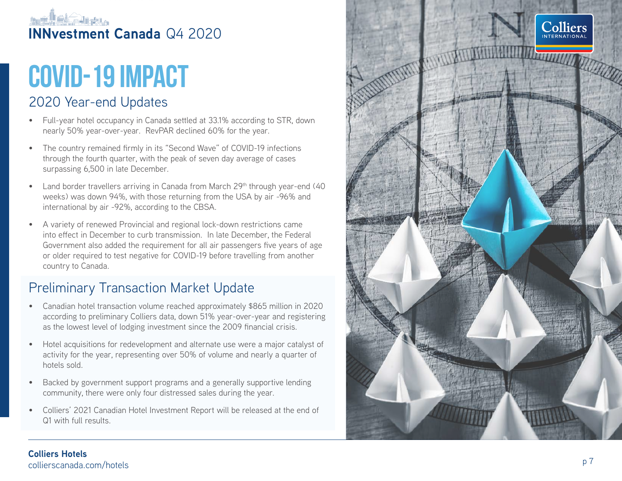<span id="page-6-0"></span>

# **COVID-19 IMPACT**

## 2020 Year-end Updates

- Full-year hotel occupancy in Canada settled at 33.1% according to STR, down nearly 50% year-over-year. RevPAR declined 60% for the year.
- The country remained firmly in its "Second Wave" of COVID-19 infections through the fourth quarter, with the peak of seven day average of cases surpassing 6,500 in late December.
- Land border travellers arriving in Canada from March 29<sup>th</sup> through year-end (40 weeks) was down 94%, with those returning from the USA by air -96% and international by air -92%, according to the CBSA.
- A variety of renewed Provincial and regional lock-down restrictions came into effect in December to curb transmission. In late December, the Federal Government also added the requirement for all air passengers five years of age or older required to test negative for COVID-19 before travelling from another country to Canada.

## Preliminary Transaction Market Update

- Canadian hotel transaction volume reached approximately \$865 million in 2020 according to preliminary Colliers data, down 51% year-over-year and registering as the lowest level of lodging investment since the 2009 financial crisis.
- Hotel acquisitions for redevelopment and alternate use were a major catalyst of activity for the year, representing over 50% of volume and nearly a quarter of hotels sold.
- Backed by government support programs and a generally supportive lending community, there were only four distressed sales during the year.
- Colliers' 2021 Canadian Hotel Investment Report will be released at the end of Q1 with full results.



### **Colliers Hotels** [collierscanada.com/hotels](#page-7-0) p 7